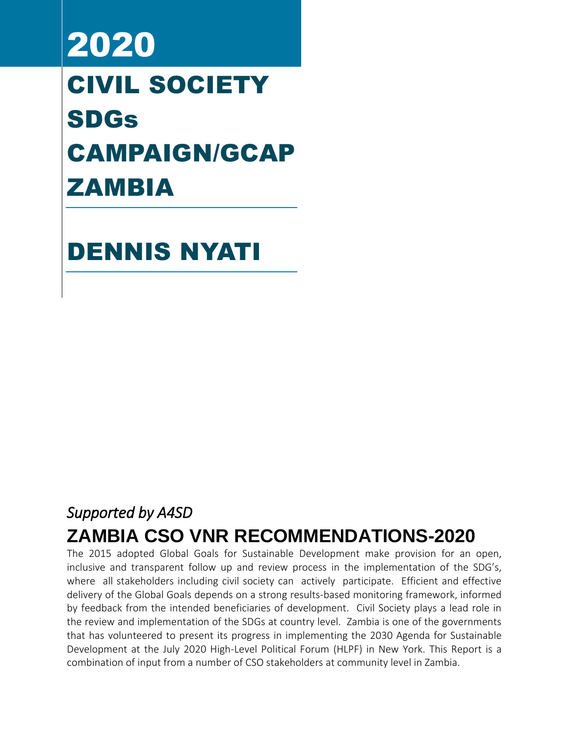# 2020 CIVIL SOCIETY SDGs CAMPAIGN/GCAP ZAMBIA

DENNIS NYATI

# *Supported by A4SD*

# **ZAMBIA CSO VNR RECOMMENDATIONS-2020**

The 2015 adopted Global Goals for Sustainable Development make provision for an open, inclusive and transparent follow up and review process in the implementation of the SDG's, where all stakeholders including civil society can actively participate. Efficient and effective delivery of the Global Goals depends on a strong results-based monitoring framework, informed by feedback from the intended beneficiaries of development. Civil Society plays a lead role in the review and implementation of the SDGs at country level. Zambia is one of the governments that has volunteered to present its progress in implementing the 2030 Agenda for Sustainable Development at the July 2020 High-Level Political Forum (HLPF) in New York. This Report is a combination of input from a number of CSO stakeholders at community level in Zambia.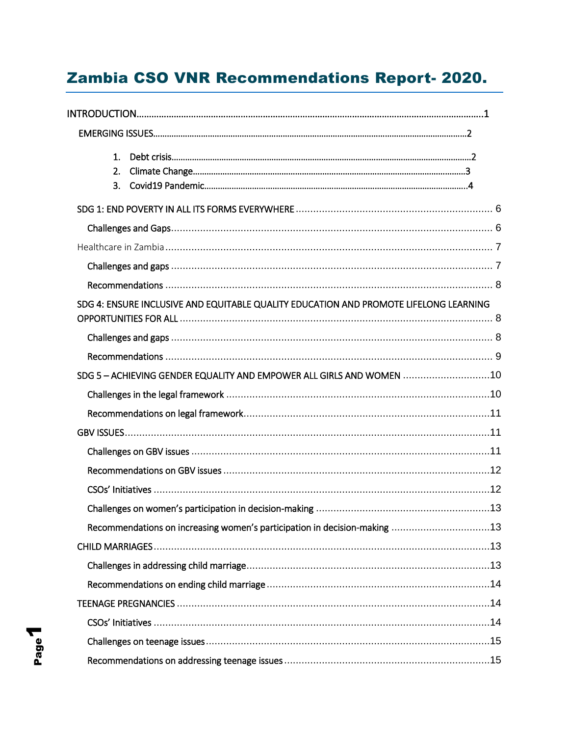# Zambia CSO VNR Recommendations Report- 2020.

| 1 <sub>1</sub>                                                                        |  |
|---------------------------------------------------------------------------------------|--|
| 2.                                                                                    |  |
| 3.                                                                                    |  |
|                                                                                       |  |
|                                                                                       |  |
|                                                                                       |  |
|                                                                                       |  |
|                                                                                       |  |
| SDG 4: ENSURE INCLUSIVE AND EQUITABLE QUALITY EDUCATION AND PROMOTE LIFELONG LEARNING |  |
|                                                                                       |  |
|                                                                                       |  |
| SDG 5-ACHIEVING GENDER EQUALITY AND EMPOWER ALL GIRLS AND WOMEN 10                    |  |
|                                                                                       |  |
|                                                                                       |  |
|                                                                                       |  |
|                                                                                       |  |
|                                                                                       |  |
|                                                                                       |  |
|                                                                                       |  |
| Recommendations on increasing women's participation in decision-making 13             |  |
|                                                                                       |  |
|                                                                                       |  |
|                                                                                       |  |
|                                                                                       |  |
|                                                                                       |  |
|                                                                                       |  |
|                                                                                       |  |

Page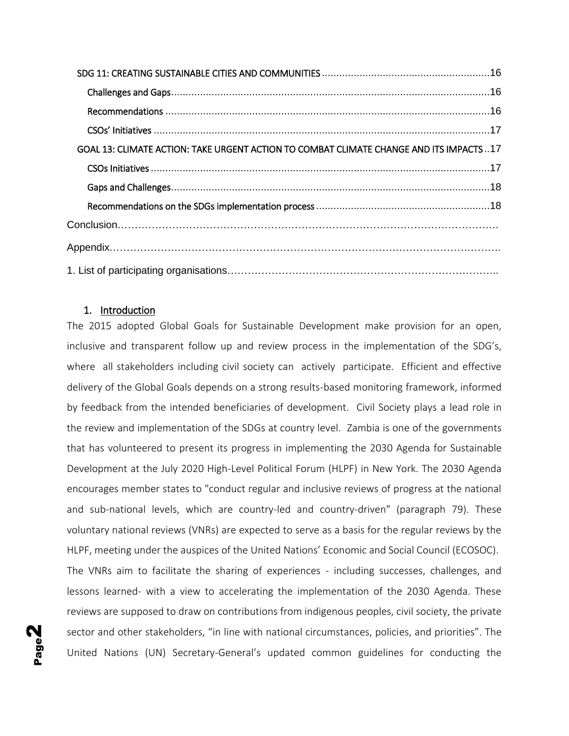| GOAL 13: CLIMATE ACTION: TAKE URGENT ACTION TO COMBAT CLIMATE CHANGE AND ITS IMPACTS 17 |  |
|-----------------------------------------------------------------------------------------|--|
|                                                                                         |  |
|                                                                                         |  |
|                                                                                         |  |
|                                                                                         |  |
|                                                                                         |  |
|                                                                                         |  |

#### 1. Introduction

The 2015 adopted Global Goals for Sustainable Development make provision for an open, inclusive and transparent follow up and review process in the implementation of the SDG's, where all stakeholders including civil society can actively participate. Efficient and effective delivery of the Global Goals depends on a strong results-based monitoring framework, informed by feedback from the intended beneficiaries of development. Civil Society plays a lead role in the review and implementation of the SDGs at country level. Zambia is one of the governments that has volunteered to present its progress in implementing the 2030 Agenda for Sustainable Development at the July 2020 High-Level Political Forum (HLPF) in New York. The 2030 Agenda encourages member states to "conduct regular and inclusive reviews of progress at the national and sub-national levels, which are country-led and country-driven" (paragraph 79). These voluntary national reviews (VNRs) are expected to serve as a basis for the regular reviews by the HLPF, meeting under the auspices of the United Nations' Economic and Social Council (ECOSOC).

The VNRs aim to facilitate the sharing of experiences - including successes, challenges, and lessons learned- with a view to accelerating the implementation of the 2030 Agenda. These reviews are supposed to draw on contributions from indigenous peoples, civil society, the private sector and other stakeholders, "in line with national circumstances, policies, and priorities". The United Nations (UN) Secretary-General's updated common guidelines for conducting the

Page  $\boldsymbol{\mathsf{N}}$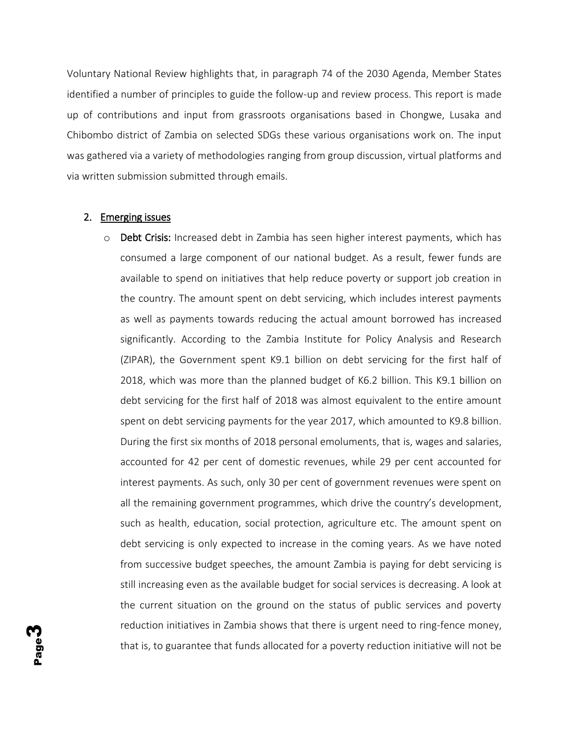Voluntary National Review highlights that, in paragraph 74 of the 2030 Agenda, Member States identified a number of principles to guide the follow-up and review process. This report is made up of contributions and input from grassroots organisations based in Chongwe, Lusaka and Chibombo district of Zambia on selected SDGs these various organisations work on. The input was gathered via a variety of methodologies ranging from group discussion, virtual platforms and via written submission submitted through emails.

#### 2. Emerging issues

 $\circ$  Debt Crisis: Increased debt in Zambia has seen higher interest payments, which has consumed a large component of our national budget. As a result, fewer funds are available to spend on initiatives that help reduce poverty or support job creation in the country. The amount spent on debt servicing, which includes interest payments as well as payments towards reducing the actual amount borrowed has increased significantly. According to the Zambia Institute for Policy Analysis and Research (ZIPAR), the Government spent K9.1 billion on debt servicing for the first half of 2018, which was more than the planned budget of K6.2 billion. This K9.1 billion on debt servicing for the first half of 2018 was almost equivalent to the entire amount spent on debt servicing payments for the year 2017, which amounted to K9.8 billion. During the first six months of 2018 personal emoluments, that is, wages and salaries, accounted for 42 per cent of domestic revenues, while 29 per cent accounted for interest payments. As such, only 30 per cent of government revenues were spent on all the remaining government programmes, which drive the country's development, such as health, education, social protection, agriculture etc. The amount spent on debt servicing is only expected to increase in the coming years. As we have noted from successive budget speeches, the amount Zambia is paying for debt servicing is still increasing even as the available budget for social services is decreasing. A look at the current situation on the ground on the status of public services and poverty reduction initiatives in Zambia shows that there is urgent need to ring-fence money, that is, to guarantee that funds allocated for a poverty reduction initiative will not be

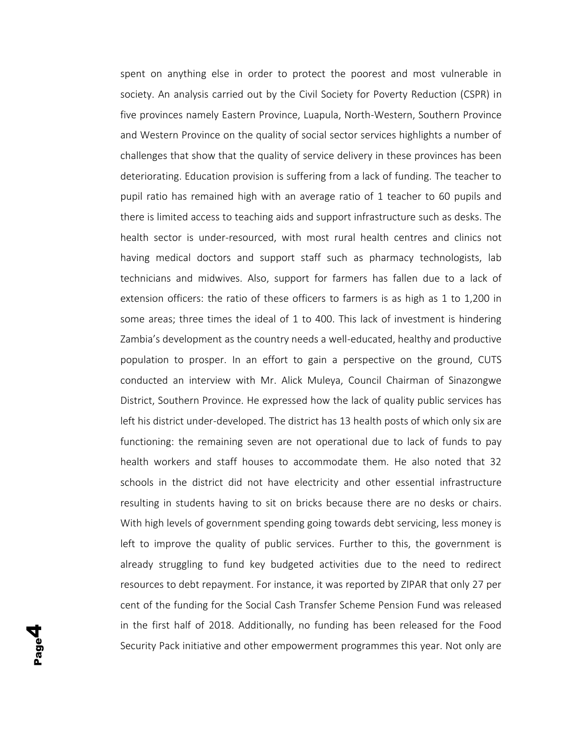spent on anything else in order to protect the poorest and most vulnerable in society. An analysis carried out by the Civil Society for Poverty Reduction (CSPR) in five provinces namely Eastern Province, Luapula, North-Western, Southern Province and Western Province on the quality of social sector services highlights a number of challenges that show that the quality of service delivery in these provinces has been deteriorating. Education provision is suffering from a lack of funding. The teacher to pupil ratio has remained high with an average ratio of 1 teacher to 60 pupils and there is limited access to teaching aids and support infrastructure such as desks. The health sector is under-resourced, with most rural health centres and clinics not having medical doctors and support staff such as pharmacy technologists, lab technicians and midwives. Also, support for farmers has fallen due to a lack of extension officers: the ratio of these officers to farmers is as high as 1 to 1,200 in some areas; three times the ideal of 1 to 400. This lack of investment is hindering Zambia's development as the country needs a well-educated, healthy and productive population to prosper. In an effort to gain a perspective on the ground, CUTS conducted an interview with Mr. Alick Muleya, Council Chairman of Sinazongwe District, Southern Province. He expressed how the lack of quality public services has left his district under-developed. The district has 13 health posts of which only six are functioning: the remaining seven are not operational due to lack of funds to pay health workers and staff houses to accommodate them. He also noted that 32 schools in the district did not have electricity and other essential infrastructure resulting in students having to sit on bricks because there are no desks or chairs. With high levels of government spending going towards debt servicing, less money is left to improve the quality of public services. Further to this, the government is already struggling to fund key budgeted activities due to the need to redirect resources to debt repayment. For instance, it was reported by ZIPAR that only 27 per cent of the funding for the Social Cash Transfer Scheme Pension Fund was released in the first half of 2018. Additionally, no funding has been released for the Food Security Pack initiative and other empowerment programmes this year. Not only are

Page

4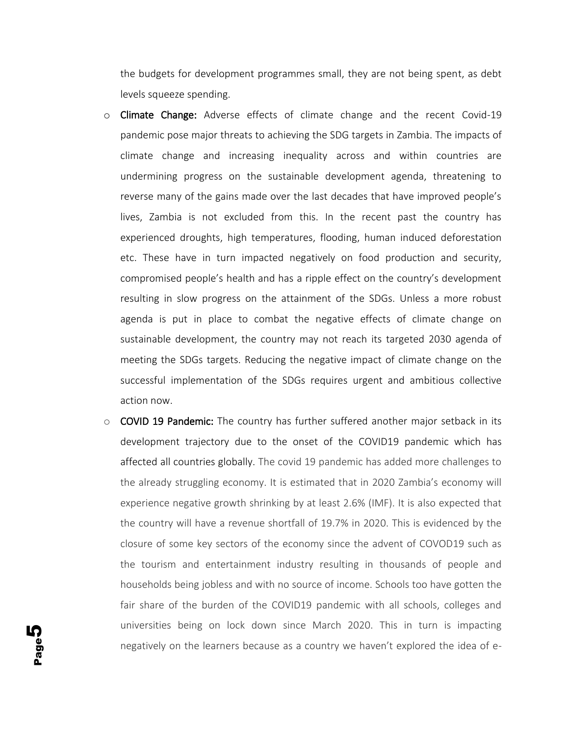the budgets for development programmes small, they are not being spent, as debt levels squeeze spending.

- $\circ$  Climate Change: Adverse effects of climate change and the recent Covid-19 pandemic pose major threats to achieving the SDG targets in Zambia. The impacts of climate change and increasing inequality across and within countries are undermining progress on the sustainable development agenda, threatening to reverse many of the gains made over the last decades that have improved people's lives, Zambia is not excluded from this. In the recent past the country has experienced droughts, high temperatures, flooding, human induced deforestation etc. These have in turn impacted negatively on food production and security, compromised people's health and has a ripple effect on the country's development resulting in slow progress on the attainment of the SDGs. Unless a more robust agenda is put in place to combat the negative effects of climate change on sustainable development, the country may not reach its targeted 2030 agenda of meeting the SDGs targets. Reducing the negative impact of climate change on the successful implementation of the SDGs requires urgent and ambitious collective action now.
- $\circ$  COVID 19 Pandemic: The country has further suffered another major setback in its development trajectory due to the onset of the COVID19 pandemic which has affected all countries globally. The covid 19 pandemic has added more challenges to the already struggling economy. It is estimated that in 2020 Zambia's economy will experience negative growth shrinking by at least 2.6% (IMF). It is also expected that the country will have a revenue shortfall of 19.7% in 2020. This is evidenced by the closure of some key sectors of the economy since the advent of COVOD19 such as the tourism and entertainment industry resulting in thousands of people and households being jobless and with no source of income. Schools too have gotten the fair share of the burden of the COVID19 pandemic with all schools, colleges and universities being on lock down since March 2020. This in turn is impacting negatively on the learners because as a country we haven't explored the idea of e-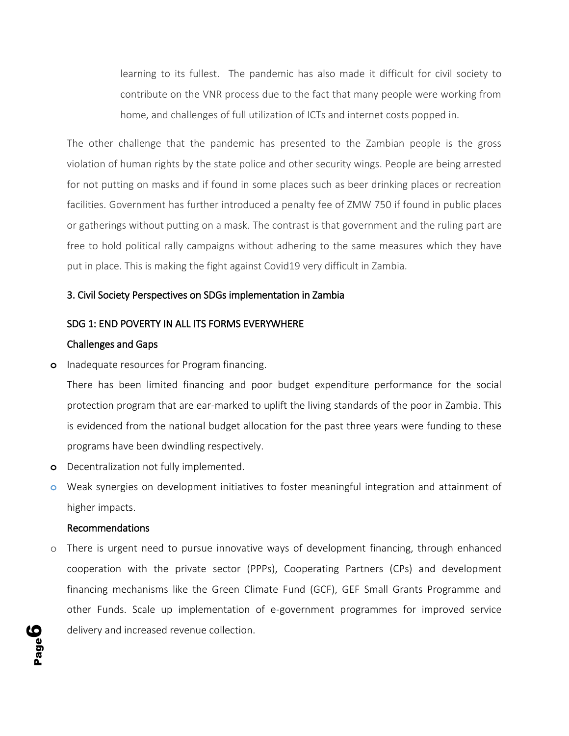learning to its fullest. The pandemic has also made it difficult for civil society to contribute on the VNR process due to the fact that many people were working from home, and challenges of full utilization of ICTs and internet costs popped in.

The other challenge that the pandemic has presented to the Zambian people is the gross violation of human rights by the state police and other security wings. People are being arrested for not putting on masks and if found in some places such as beer drinking places or recreation facilities. Government has further introduced a penalty fee of ZMW 750 if found in public places or gatherings without putting on a mask. The contrast is that government and the ruling part are free to hold political rally campaigns without adhering to the same measures which they have put in place. This is making the fight against Covid19 very difficult in Zambia.

#### 3. Civil Society Perspectives on SDGs implementation in Zambia

#### <span id="page-6-0"></span>SDG 1: END POVERTY IN ALL ITS FORMS EVERYWHERE

#### <span id="page-6-1"></span>Challenges and Gaps

**o** Inadequate resources for Program financing.

There has been limited financing and poor budget expenditure performance for the social protection program that are ear-marked to uplift the living standards of the poor in Zambia. This is evidenced from the national budget allocation for the past three years were funding to these programs have been dwindling respectively.

- **o** Decentralization not fully implemented.
- **o** Weak synergies on development initiatives to foster meaningful integration and attainment of higher impacts.

#### Recommendations

o There is urgent need to pursue innovative ways of development financing, through enhanced cooperation with the private sector (PPPs), Cooperating Partners (CPs) and development financing mechanisms like the Green Climate Fund (GCF), GEF Small Grants Programme and other Funds. Scale up implementation of e-government programmes for improved service delivery and increased revenue collection.

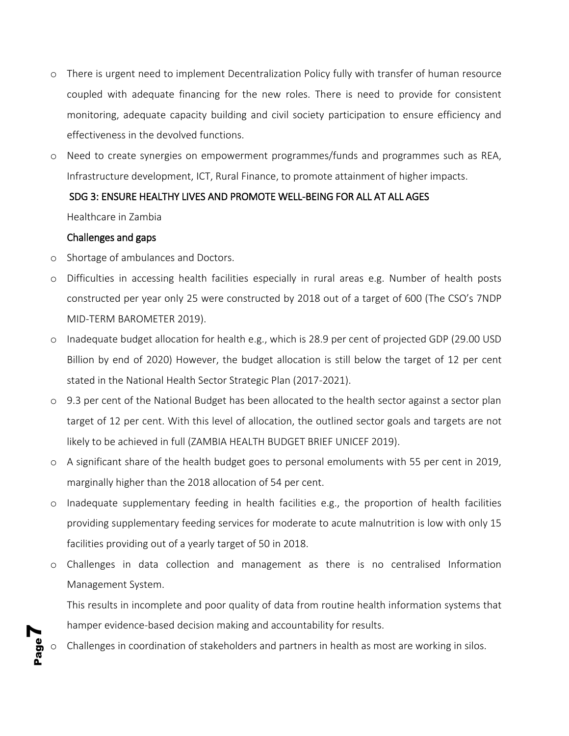- o There is urgent need to implement Decentralization Policy fully with transfer of human resource coupled with adequate financing for the new roles. There is need to provide for consistent monitoring, adequate capacity building and civil society participation to ensure efficiency and effectiveness in the devolved functions.
- o Need to create synergies on empowerment programmes/funds and programmes such as REA, Infrastructure development, ICT, Rural Finance, to promote attainment of higher impacts.

#### SDG 3: ENSURE HEALTHY LIVES AND PROMOTE WELL-BEING FOR ALL AT ALL AGES

<span id="page-7-0"></span>Healthcare in Zambia

#### <span id="page-7-1"></span>Challenges and gaps

**7** 

- o Shortage of ambulances and Doctors.
- o Difficulties in accessing health facilities especially in rural areas e.g. Number of health posts constructed per year only 25 were constructed by 2018 out of a target of 600 (The CSO's 7NDP MID-TERM BAROMETER 2019).
- o Inadequate budget allocation for health e.g., which is 28.9 per cent of projected GDP (29.00 USD Billion by end of 2020) However, the budget allocation is still below the target of 12 per cent stated in the National Health Sector Strategic Plan (2017-2021).
- o 9.3 per cent of the National Budget has been allocated to the health sector against a sector plan target of 12 per cent. With this level of allocation, the outlined sector goals and targets are not likely to be achieved in full (ZAMBIA HEALTH BUDGET BRIEF UNICEF 2019).
- o A significant share of the health budget goes to personal emoluments with 55 per cent in 2019, marginally higher than the 2018 allocation of 54 per cent.
- o Inadequate supplementary feeding in health facilities e.g., the proportion of health facilities providing supplementary feeding services for moderate to acute malnutrition is low with only 15 facilities providing out of a yearly target of 50 in 2018.
- o Challenges in data collection and management as there is no centralised Information Management System.

This results in incomplete and poor quality of data from routine health information systems that hamper evidence-based decision making and accountability for results.

Page Challenges in coordination of stakeholders and partners in health as most are working in silos.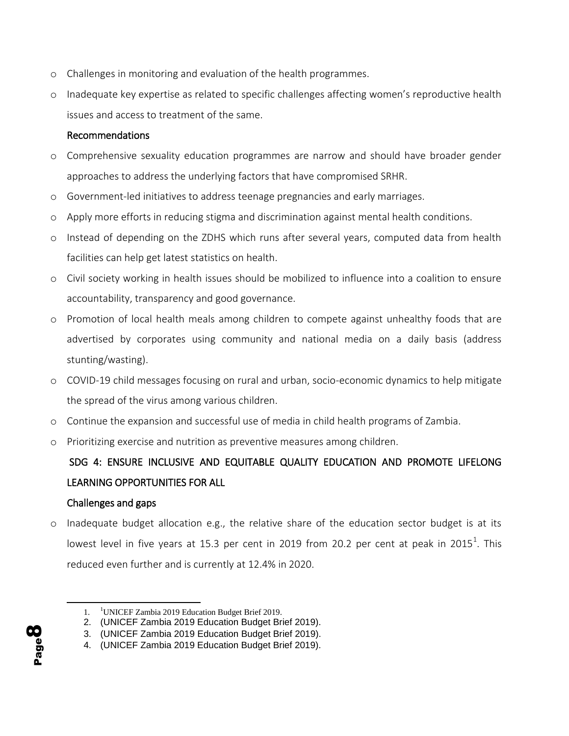- o Challenges in monitoring and evaluation of the health programmes.
- o Inadequate key expertise as related to specific challenges affecting women's reproductive health issues and access to treatment of the same.

#### <span id="page-8-0"></span>Recommendations

- o Comprehensive sexuality education programmes are narrow and should have broader gender approaches to address the underlying factors that have compromised SRHR.
- o Government-led initiatives to address teenage pregnancies and early marriages.
- o Apply more efforts in reducing stigma and discrimination against mental health conditions.
- o Instead of depending on the ZDHS which runs after several years, computed data from health facilities can help get latest statistics on health.
- o Civil society working in health issues should be mobilized to influence into a coalition to ensure accountability, transparency and good governance.
- o Promotion of local health meals among children to compete against unhealthy foods that are advertised by corporates using community and national media on a daily basis (address stunting/wasting).
- o COVID-19 child messages focusing on rural and urban, socio-economic dynamics to help mitigate the spread of the virus among various children.
- o Continue the expansion and successful use of media in child health programs of Zambia.
- o Prioritizing exercise and nutrition as preventive measures among children.

# <span id="page-8-1"></span> SDG 4: ENSURE INCLUSIVE AND EQUITABLE QUALITY EDUCATION AND PROMOTE LIFELONG LEARNING OPPORTUNITIES FOR ALL

#### <span id="page-8-2"></span>Challenges and gaps

 $\circ$  Inadequate budget allocation e.g., the relative share of the education sector budget is at its lowest level in five years at 15.3 per cent in 2019 from 20.2 per cent at peak in 2015<sup>1</sup>. This reduced even further and is currently at 12.4% in 2020.

<sup>4.</sup> (UNICEF Zambia 2019 Education Budget Brief 2019).



<sup>1. &</sup>lt;sup>1</sup>UNICEF Zambia 2019 Education Budget Brief 2019.

<sup>2.</sup> (UNICEF Zambia 2019 Education Budget Brief 2019).

<sup>3.</sup> (UNICEF Zambia 2019 Education Budget Brief 2019).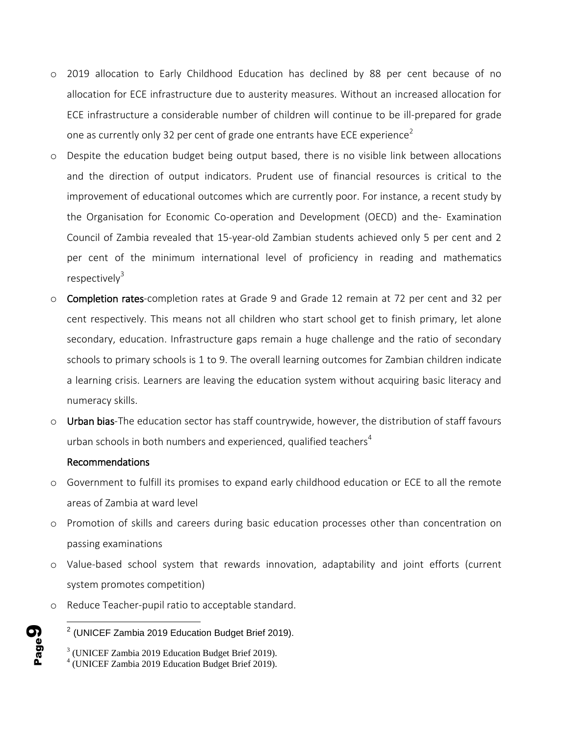- o 2019 allocation to Early Childhood Education has declined by 88 per cent because of no allocation for ECE infrastructure due to austerity measures. Without an increased allocation for ECE infrastructure a considerable number of children will continue to be ill-prepared for grade one as currently only 32 per cent of grade one entrants have ECE experience<sup>2</sup>
- o Despite the education budget being output based, there is no visible link between allocations and the direction of output indicators. Prudent use of financial resources is critical to the improvement of educational outcomes which are currently poor. For instance, a recent study by the Organisation for Economic Co-operation and Development (OECD) and the- Examination Council of Zambia revealed that 15-year-old Zambian students achieved only 5 per cent and 2 per cent of the minimum international level of proficiency in reading and mathematics respectively $3$
- o Completion rates-completion rates at Grade 9 and Grade 12 remain at 72 per cent and 32 per cent respectively. This means not all children who start school get to finish primary, let alone secondary, education. Infrastructure gaps remain a huge challenge and the ratio of secondary schools to primary schools is 1 to 9. The overall learning outcomes for Zambian children indicate a learning crisis. Learners are leaving the education system without acquiring basic literacy and numeracy skills.
- o Urban bias-The education sector has staff countrywide, however, the distribution of staff favours urban schools in both numbers and experienced, qualified teachers<sup>4</sup>

#### <span id="page-9-0"></span>Recommendations

- o Government to fulfill its promises to expand early childhood education or ECE to all the remote areas of Zambia at ward level
- o Promotion of skills and careers during basic education processes other than concentration on passing examinations
- o Value-based school system that rewards innovation, adaptability and joint efforts (current system promotes competition)
- o Reduce Teacher-pupil ratio to acceptable standard.

<sup>4</sup> (UNICEF Zambia 2019 Education Budget Brief 2019).



  $2$  (UNICEF Zambia 2019 Education Budget Brief 2019).

<sup>&</sup>lt;sup>3</sup> (UNICEF Zambia 2019 Education Budget Brief 2019).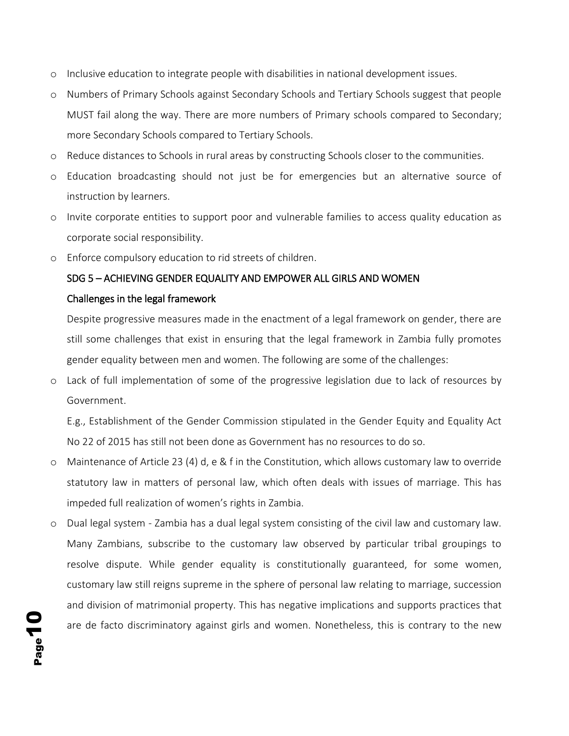- o Inclusive education to integrate people with disabilities in national development issues.
- o Numbers of Primary Schools against Secondary Schools and Tertiary Schools suggest that people MUST fail along the way. There are more numbers of Primary schools compared to Secondary; more Secondary Schools compared to Tertiary Schools.
- o Reduce distances to Schools in rural areas by constructing Schools closer to the communities.
- o Education broadcasting should not just be for emergencies but an alternative source of instruction by learners.
- o Invite corporate entities to support poor and vulnerable families to access quality education as corporate social responsibility.
- o Enforce compulsory education to rid streets of children.

### <span id="page-10-1"></span><span id="page-10-0"></span>SDG 5 – ACHIEVING GENDER EQUALITY AND EMPOWER ALL GIRLS AND WOMEN Challenges in the legal framework

Despite progressive measures made in the enactment of a legal framework on gender, there are still some challenges that exist in ensuring that the legal framework in Zambia fully promotes gender equality between men and women. The following are some of the challenges:

o Lack of full implementation of some of the progressive legislation due to lack of resources by Government.

E.g., Establishment of the Gender Commission stipulated in the Gender Equity and Equality Act No 22 of 2015 has still not been done as Government has no resources to do so.

- o Maintenance of Article 23 (4) d, e & f in the Constitution, which allows customary law to override statutory law in matters of personal law, which often deals with issues of marriage. This has impeded full realization of women's rights in Zambia.
- o Dual legal system Zambia has a dual legal system consisting of the civil law and customary law. Many Zambians, subscribe to the customary law observed by particular tribal groupings to resolve dispute. While gender equality is constitutionally guaranteed, for some women, customary law still reigns supreme in the sphere of personal law relating to marriage, succession and division of matrimonial property. This has negative implications and supports practices that are de facto discriminatory against girls and women. Nonetheless, this is contrary to the new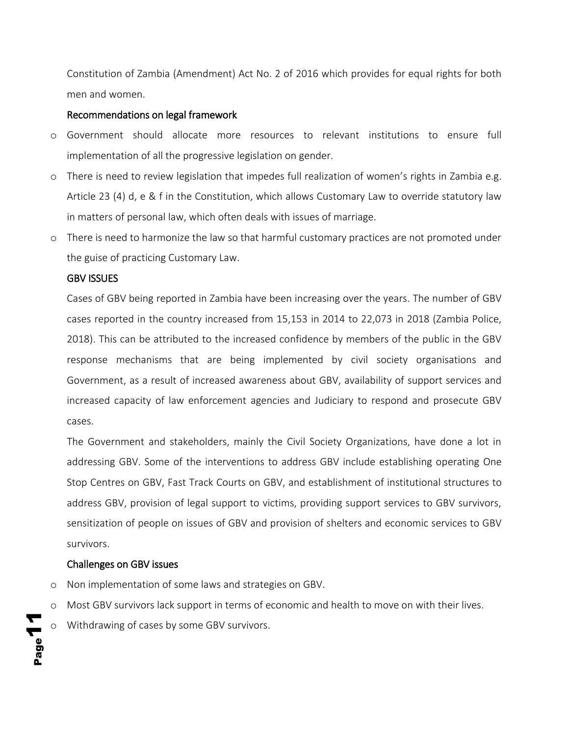Constitution of Zambia (Amendment) Act No. 2 of 2016 which provides for equal rights for both men and women.

#### <span id="page-11-0"></span>Recommendations on legal framework

- o Government should allocate more resources to relevant institutions to ensure full implementation of all the progressive legislation on gender.
- o There is need to review legislation that impedes full realization of women's rights in Zambia e.g. Article 23 (4) d, e & f in the Constitution, which allows Customary Law to override statutory law in matters of personal law, which often deals with issues of marriage.
- o There is need to harmonize the law so that harmful customary practices are not promoted under the guise of practicing Customary Law.

#### <span id="page-11-1"></span>GBV ISSUES

Cases of GBV being reported in Zambia have been increasing over the years. The number of GBV cases reported in the country increased from 15,153 in 2014 to 22,073 in 2018 (Zambia Police, 2018). This can be attributed to the increased confidence by members of the public in the GBV response mechanisms that are being implemented by civil society organisations and Government, as a result of increased awareness about GBV, availability of support services and increased capacity of law enforcement agencies and Judiciary to respond and prosecute GBV cases.

The Government and stakeholders, mainly the Civil Society Organizations, have done a lot in addressing GBV. Some of the interventions to address GBV include establishing operating One Stop Centres on GBV, Fast Track Courts on GBV, and establishment of institutional structures to address GBV, provision of legal support to victims, providing support services to GBV survivors, sensitization of people on issues of GBV and provision of shelters and economic services to GBV survivors.

#### <span id="page-11-2"></span>Challenges on GBV issues

- o Non implementation of some laws and strategies on GBV.
- o Most GBV survivors lack support in terms of economic and health to move on with their lives.
- Page11 Withdrawing of cases by some GBV survivors.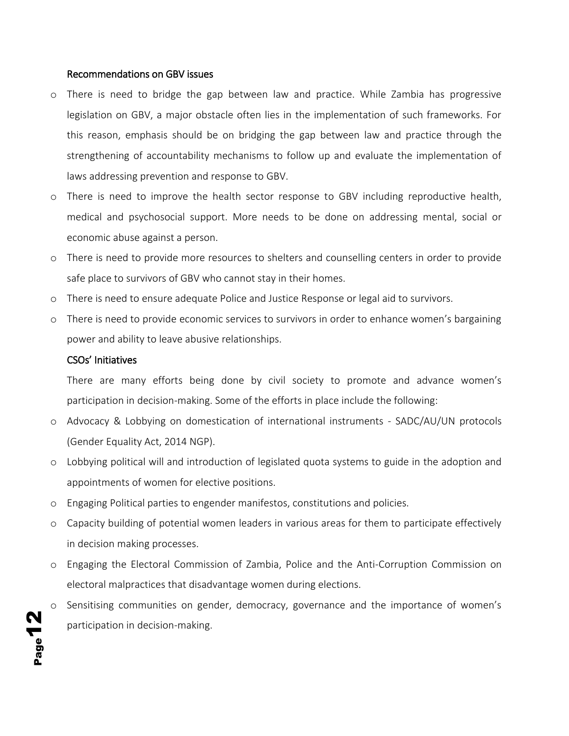#### <span id="page-12-0"></span>Recommendations on GBV issues

- o There is need to bridge the gap between law and practice. While Zambia has progressive legislation on GBV, a major obstacle often lies in the implementation of such frameworks. For this reason, emphasis should be on bridging the gap between law and practice through the strengthening of accountability mechanisms to follow up and evaluate the implementation of laws addressing prevention and response to GBV.
- o There is need to improve the health sector response to GBV including reproductive health, medical and psychosocial support. More needs to be done on addressing mental, social or economic abuse against a person.
- o There is need to provide more resources to shelters and counselling centers in order to provide safe place to survivors of GBV who cannot stay in their homes.
- o There is need to ensure adequate Police and Justice Response or legal aid to survivors.
- o There is need to provide economic services to survivors in order to enhance women's bargaining power and ability to leave abusive relationships.

#### <span id="page-12-1"></span>CSOs' Initiatives

There are many efforts being done by civil society to promote and advance women's participation in decision-making. Some of the efforts in place include the following:

- o Advocacy & Lobbying on domestication of international instruments SADC/AU/UN protocols (Gender Equality Act, 2014 NGP).
- o Lobbying political will and introduction of legislated quota systems to guide in the adoption and appointments of women for elective positions.
- o Engaging Political parties to engender manifestos, constitutions and policies.
- o Capacity building of potential women leaders in various areas for them to participate effectively in decision making processes.
- o Engaging the Electoral Commission of Zambia, Police and the Anti-Corruption Commission on electoral malpractices that disadvantage women during elections.
- Sensitising communities on gender, democracy, governance and the importance of women's participation in decision-making.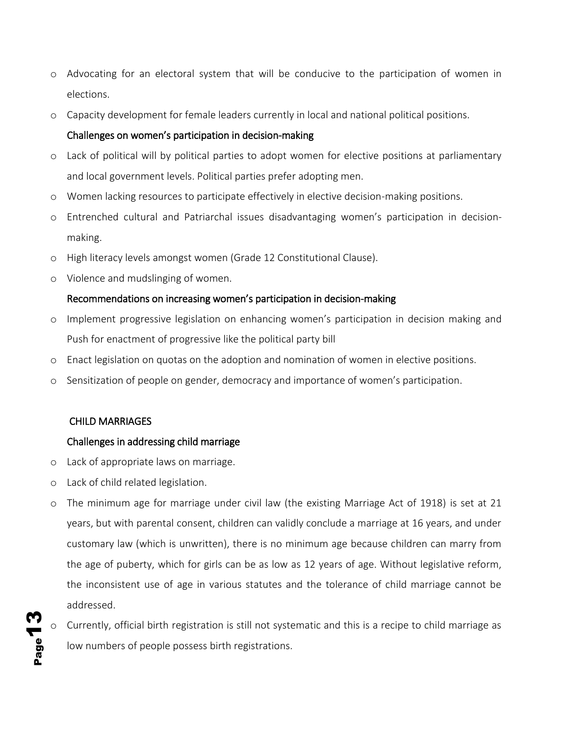- o Advocating for an electoral system that will be conducive to the participation of women in elections.
- o Capacity development for female leaders currently in local and national political positions.

#### <span id="page-13-0"></span>Challenges on women's participation in decision-making

- o Lack of political will by political parties to adopt women for elective positions at parliamentary and local government levels. Political parties prefer adopting men.
- o Women lacking resources to participate effectively in elective decision-making positions.
- o Entrenched cultural and Patriarchal issues disadvantaging women's participation in decisionmaking.
- o High literacy levels amongst women (Grade 12 Constitutional Clause).
- o Violence and mudslinging of women.

#### <span id="page-13-1"></span>Recommendations on increasing women's participation in decision-making

- o Implement progressive legislation on enhancing women's participation in decision making and Push for enactment of progressive like the political party bill
- o Enact legislation on quotas on the adoption and nomination of women in elective positions.
- o Sensitization of people on gender, democracy and importance of women's participation.

#### <span id="page-13-2"></span>CHILD MARRIAGES

Page<sup>1</sup>

#### <span id="page-13-3"></span>Challenges in addressing child marriage

- o Lack of appropriate laws on marriage.
- o Lack of child related legislation.
- o The minimum age for marriage under civil law (the existing Marriage Act of 1918) is set at 21 years, but with parental consent, children can validly conclude a marriage at 16 years, and under customary law (which is unwritten), there is no minimum age because children can marry from the age of puberty, which for girls can be as low as 12 years of age. Without legislative reform, the inconsistent use of age in various statutes and the tolerance of child marriage cannot be addressed.
- Currently, official birth registration is still not systematic and this is a recipe to child marriage as low numbers of people possess birth registrations.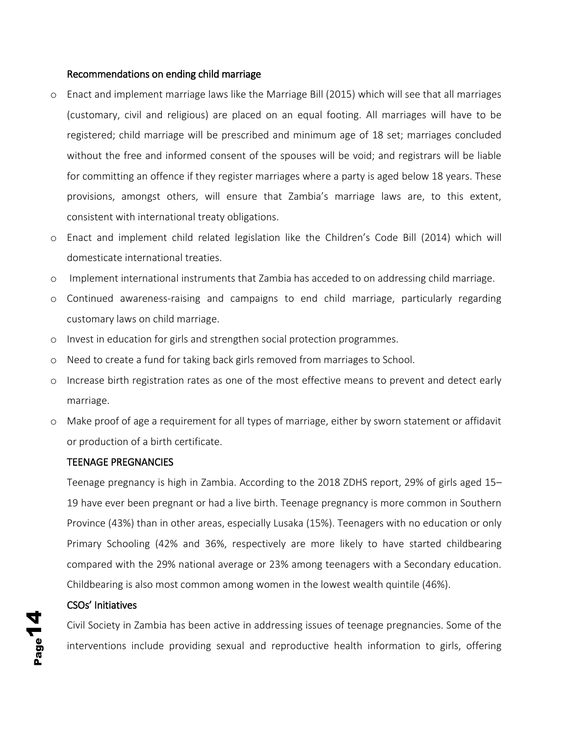#### <span id="page-14-0"></span>Recommendations on ending child marriage

- o Enact and implement marriage laws like the Marriage Bill (2015) which will see that all marriages (customary, civil and religious) are placed on an equal footing. All marriages will have to be registered; child marriage will be prescribed and minimum age of 18 set; marriages concluded without the free and informed consent of the spouses will be void; and registrars will be liable for committing an offence if they register marriages where a party is aged below 18 years. These provisions, amongst others, will ensure that Zambia's marriage laws are, to this extent, consistent with international treaty obligations.
- o Enact and implement child related legislation like the Children's Code Bill (2014) which will domesticate international treaties.
- o Implement international instruments that Zambia has acceded to on addressing child marriage.
- o Continued awareness-raising and campaigns to end child marriage, particularly regarding customary laws on child marriage.
- o Invest in education for girls and strengthen social protection programmes.
- o Need to create a fund for taking back girls removed from marriages to School.
- o Increase birth registration rates as one of the most effective means to prevent and detect early marriage.
- o Make proof of age a requirement for all types of marriage, either by sworn statement or affidavit or production of a birth certificate.

#### <span id="page-14-1"></span>TEENAGE PREGNANCIES

Teenage pregnancy is high in Zambia. According to the 2018 ZDHS report, 29% of girls aged 15– 19 have ever been pregnant or had a live birth. Teenage pregnancy is more common in Southern Province (43%) than in other areas, especially Lusaka (15%). Teenagers with no education or only Primary Schooling (42% and 36%, respectively are more likely to have started childbearing compared with the 29% national average or 23% among teenagers with a Secondary education. Childbearing is also most common among women in the lowest wealth quintile (46%).

#### <span id="page-14-2"></span>CSOs' Initiatives

Civil Society in Zambia has been active in addressing issues of teenage pregnancies. Some of the interventions include providing sexual and reproductive health information to girls, offering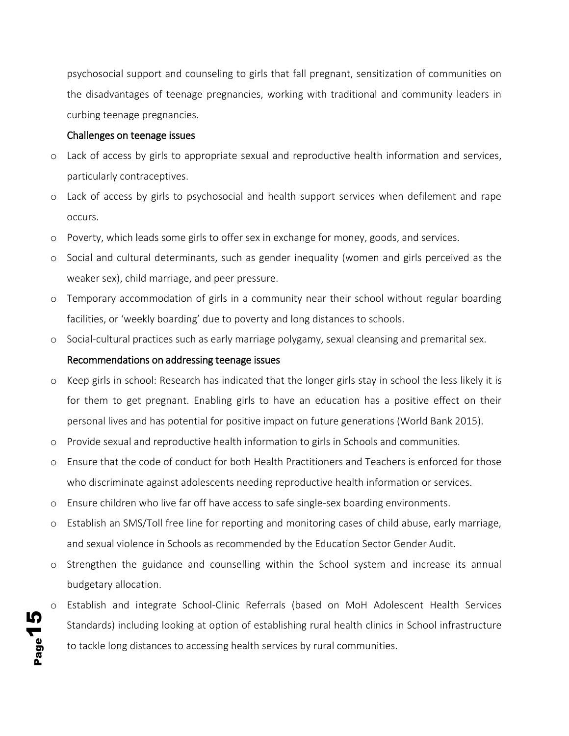psychosocial support and counseling to girls that fall pregnant, sensitization of communities on the disadvantages of teenage pregnancies, working with traditional and community leaders in curbing teenage pregnancies.

#### <span id="page-15-0"></span>Challenges on teenage issues

- o Lack of access by girls to appropriate sexual and reproductive health information and services, particularly contraceptives.
- o Lack of access by girls to psychosocial and health support services when defilement and rape occurs.
- o Poverty, which leads some girls to offer sex in exchange for money, goods, and services.
- o Social and cultural determinants, such as gender inequality (women and girls perceived as the weaker sex), child marriage, and peer pressure.
- o Temporary accommodation of girls in a community near their school without regular boarding facilities, or 'weekly boarding' due to poverty and long distances to schools.
- o Social-cultural practices such as early marriage polygamy, sexual cleansing and premarital sex.

#### <span id="page-15-1"></span>Recommendations on addressing teenage issues

Page15

- o Keep girls in school: Research has indicated that the longer girls stay in school the less likely it is for them to get pregnant. Enabling girls to have an education has a positive effect on their personal lives and has potential for positive impact on future generations (World Bank 2015).
- o Provide sexual and reproductive health information to girls in Schools and communities.
- o Ensure that the code of conduct for both Health Practitioners and Teachers is enforced for those who discriminate against adolescents needing reproductive health information or services.
- o Ensure children who live far off have access to safe single-sex boarding environments.
- o Establish an SMS/Toll free line for reporting and monitoring cases of child abuse, early marriage, and sexual violence in Schools as recommended by the Education Sector Gender Audit.
- o Strengthen the guidance and counselling within the School system and increase its annual budgetary allocation.
- Establish and integrate School-Clinic Referrals (based on MoH Adolescent Health Services Standards) including looking at option of establishing rural health clinics in School infrastructure to tackle long distances to accessing health services by rural communities.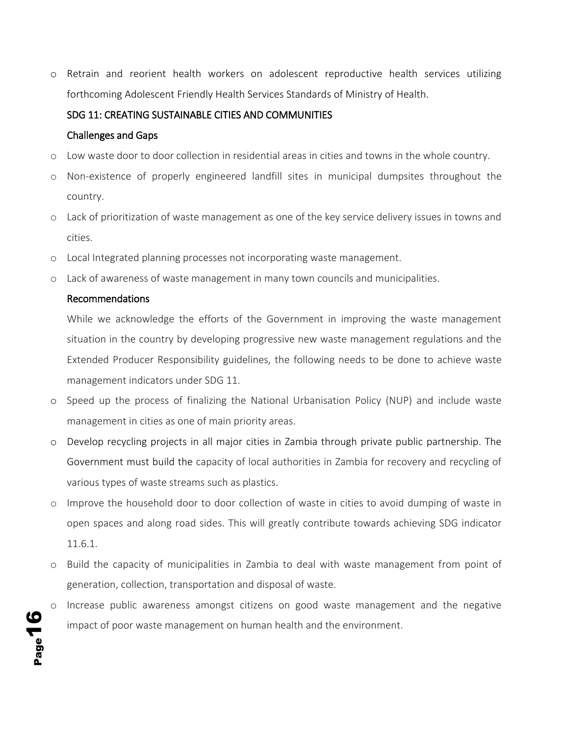o Retrain and reorient health workers on adolescent reproductive health services utilizing forthcoming Adolescent Friendly Health Services Standards of Ministry of Health.

#### <span id="page-16-0"></span>SDG 11: CREATING SUSTAINABLE CITIES AND COMMUNITIES

#### <span id="page-16-1"></span>Challenges and Gaps

- o Low waste door to door collection in residential areas in cities and towns in the whole country.
- o Non-existence of properly engineered landfill sites in municipal dumpsites throughout the country.
- o Lack of prioritization of waste management as one of the key service delivery issues in towns and cities.
- o Local Integrated planning processes not incorporating waste management.
- o Lack of awareness of waste management in many town councils and municipalities.

#### <span id="page-16-2"></span>Recommendations

While we acknowledge the efforts of the Government in improving the waste management situation in the country by developing progressive new waste management regulations and the Extended Producer Responsibility guidelines, the following needs to be done to achieve waste management indicators under SDG 11.

- o Speed up the process of finalizing the National Urbanisation Policy (NUP) and include waste management in cities as one of main priority areas.
- o Develop recycling projects in all major cities in Zambia through private public partnership. The Government must build the capacity of local authorities in Zambia for recovery and recycling of various types of waste streams such as plastics.
- o Improve the household door to door collection of waste in cities to avoid dumping of waste in open spaces and along road sides. This will greatly contribute towards achieving SDG indicator 11.6.1.
- o Build the capacity of municipalities in Zambia to deal with waste management from point of generation, collection, transportation and disposal of waste.
- Increase public awareness amongst citizens on good waste management and the negative impact of poor waste management on human health and the environment.

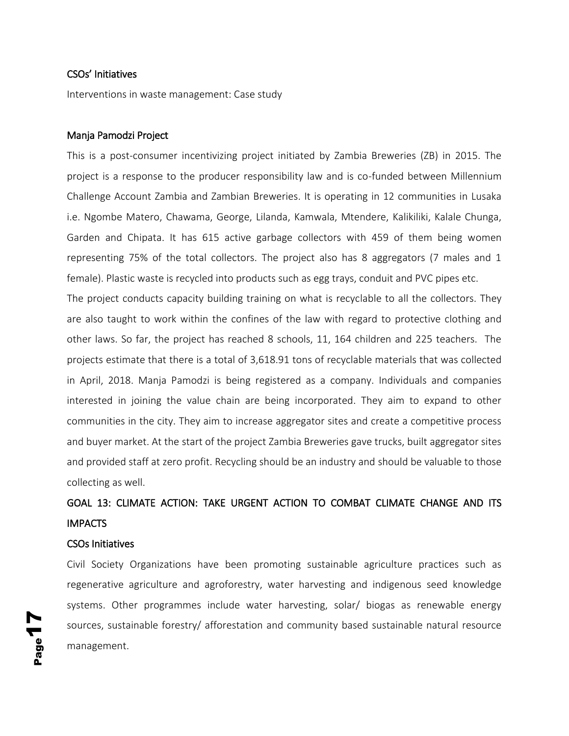#### <span id="page-17-0"></span>CSOs' Initiatives

Interventions in waste management: Case study

#### Manja Pamodzi Project

This is a post-consumer incentivizing project initiated by Zambia Breweries (ZB) in 2015. The project is a response to the producer responsibility law and is co-funded between Millennium Challenge Account Zambia and Zambian Breweries. It is operating in 12 communities in Lusaka i.e. Ngombe Matero, Chawama, George, Lilanda, Kamwala, Mtendere, Kalikiliki, Kalale Chunga, Garden and Chipata. It has 615 active garbage collectors with 459 of them being women representing 75% of the total collectors. The project also has 8 aggregators (7 males and 1 female). Plastic waste is recycled into products such as egg trays, conduit and PVC pipes etc.

The project conducts capacity building training on what is recyclable to all the collectors. They are also taught to work within the confines of the law with regard to protective clothing and other laws. So far, the project has reached 8 schools, 11, 164 children and 225 teachers. The projects estimate that there is a total of 3,618.91 tons of recyclable materials that was collected in April, 2018. Manja Pamodzi is being registered as a company. Individuals and companies interested in joining the value chain are being incorporated. They aim to expand to other communities in the city. They aim to increase aggregator sites and create a competitive process and buyer market. At the start of the project Zambia Breweries gave trucks, built aggregator sites and provided staff at zero profit. Recycling should be an industry and should be valuable to those collecting as well.

## <span id="page-17-1"></span>GOAL 13: CLIMATE ACTION: TAKE URGENT ACTION TO COMBAT CLIMATE CHANGE AND ITS IMPACTS

#### <span id="page-17-2"></span>CSOs Initiatives

Civil Society Organizations have been promoting sustainable agriculture practices such as regenerative agriculture and agroforestry, water harvesting and indigenous seed knowledge systems. Other programmes include water harvesting, solar/ biogas as renewable energy sources, sustainable forestry/ afforestation and community based sustainable natural resource management.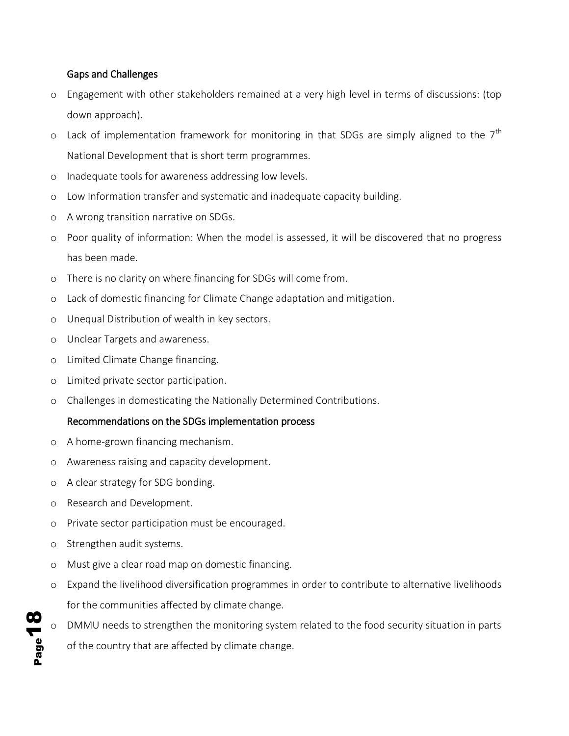#### <span id="page-18-0"></span>Gaps and Challenges

- o Engagement with other stakeholders remained at a very high level in terms of discussions: (top down approach).
- $\circ$  Lack of implementation framework for monitoring in that SDGs are simply aligned to the  $7^{\text{th}}$ National Development that is short term programmes.
- o Inadequate tools for awareness addressing low levels.
- o Low Information transfer and systematic and inadequate capacity building.
- o A wrong transition narrative on SDGs.
- o Poor quality of information: When the model is assessed, it will be discovered that no progress has been made.
- o There is no clarity on where financing for SDGs will come from.
- o Lack of domestic financing for Climate Change adaptation and mitigation.
- o Unequal Distribution of wealth in key sectors.
- o Unclear Targets and awareness.
- o Limited Climate Change financing.
- o Limited private sector participation.
- o Challenges in domesticating the Nationally Determined Contributions.

#### <span id="page-18-1"></span>Recommendations on the SDGs implementation process

- o A home-grown financing mechanism.
- o Awareness raising and capacity development.
- o A clear strategy for SDG bonding.
- o Research and Development.
- o Private sector participation must be encouraged.
- o Strengthen audit systems.
- o Must give a clear road map on domestic financing.
- o Expand the livelihood diversification programmes in order to contribute to alternative livelihoods for the communities affected by climate change.
- DMMU needs to strengthen the monitoring system related to the food security situation in parts of the country that are affected by climate change.

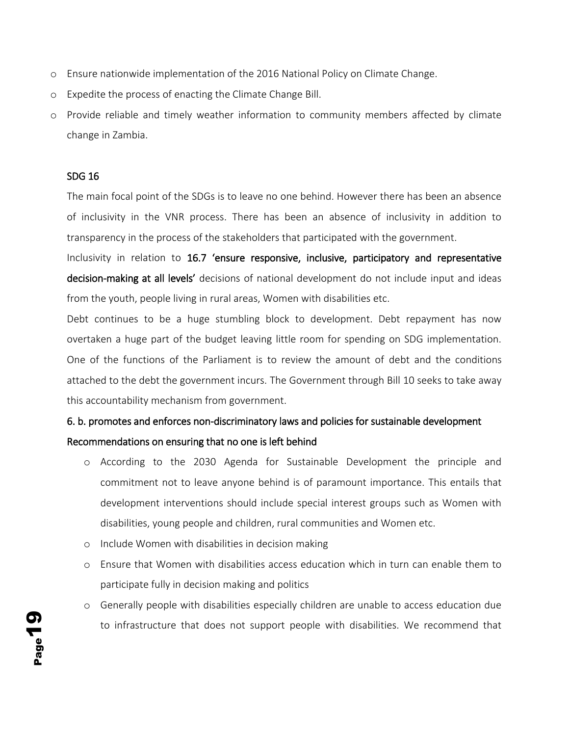- o Ensure nationwide implementation of the 2016 National Policy on Climate Change.
- o Expedite the process of enacting the Climate Change Bill.
- o Provide reliable and timely weather information to community members affected by climate change in Zambia.

#### SDG 16

The main focal point of the SDGs is to leave no one behind. However there has been an absence of inclusivity in the VNR process. There has been an absence of inclusivity in addition to transparency in the process of the stakeholders that participated with the government.

Inclusivity in relation to 16.7 'ensure responsive, inclusive, participatory and representative decision-making at all levels' decisions of national development do not include input and ideas from the youth, people living in rural areas, Women with disabilities etc.

Debt continues to be a huge stumbling block to development. Debt repayment has now overtaken a huge part of the budget leaving little room for spending on SDG implementation. One of the functions of the Parliament is to review the amount of debt and the conditions attached to the debt the government incurs. The Government through Bill 10 seeks to take away this accountability mechanism from government.

### 6. b. promotes and enforces non-discriminatory laws and policies for sustainable development Recommendations on ensuring that no one is left behind

- o According to the 2030 Agenda for Sustainable Development the principle and commitment not to leave anyone behind is of paramount importance. This entails that development interventions should include special interest groups such as Women with disabilities, young people and children, rural communities and Women etc.
- o Include Women with disabilities in decision making
- o Ensure that Women with disabilities access education which in turn can enable them to participate fully in decision making and politics
- o Generally people with disabilities especially children are unable to access education due to infrastructure that does not support people with disabilities. We recommend that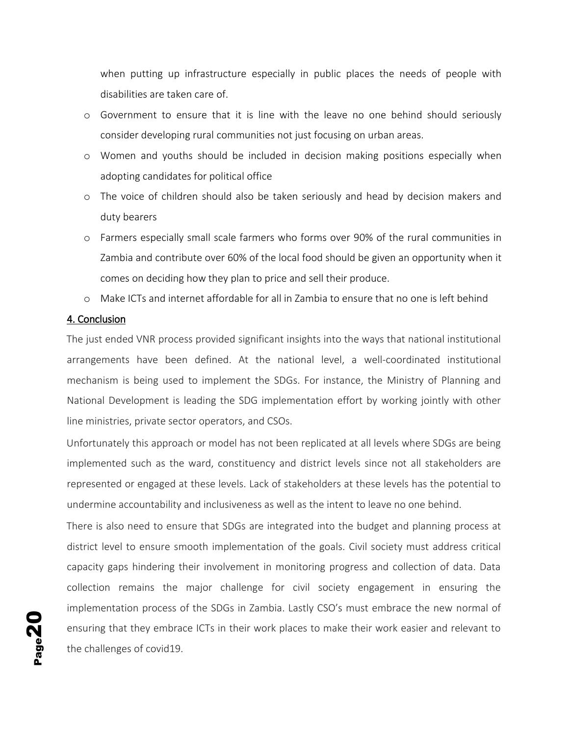when putting up infrastructure especially in public places the needs of people with disabilities are taken care of.

- o Government to ensure that it is line with the leave no one behind should seriously consider developing rural communities not just focusing on urban areas.
- o Women and youths should be included in decision making positions especially when adopting candidates for political office
- o The voice of children should also be taken seriously and head by decision makers and duty bearers
- o Farmers especially small scale farmers who forms over 90% of the rural communities in Zambia and contribute over 60% of the local food should be given an opportunity when it comes on deciding how they plan to price and sell their produce.
- o Make ICTs and internet affordable for all in Zambia to ensure that no one is left behind

#### 4. Conclusion

The just ended VNR process provided significant insights into the ways that national institutional arrangements have been defined. At the national level, a well-coordinated institutional mechanism is being used to implement the SDGs. For instance, the Ministry of Planning and National Development is leading the SDG implementation effort by working jointly with other line ministries, private sector operators, and CSOs.

Unfortunately this approach or model has not been replicated at all levels where SDGs are being implemented such as the ward, constituency and district levels since not all stakeholders are represented or engaged at these levels. Lack of stakeholders at these levels has the potential to undermine accountability and inclusiveness as well as the intent to leave no one behind.

There is also need to ensure that SDGs are integrated into the budget and planning process at district level to ensure smooth implementation of the goals. Civil society must address critical capacity gaps hindering their involvement in monitoring progress and collection of data. Data collection remains the major challenge for civil society engagement in ensuring the implementation process of the SDGs in Zambia. Lastly CSO's must embrace the new normal of ensuring that they embrace ICTs in their work places to make their work easier and relevant to the challenges of covid19.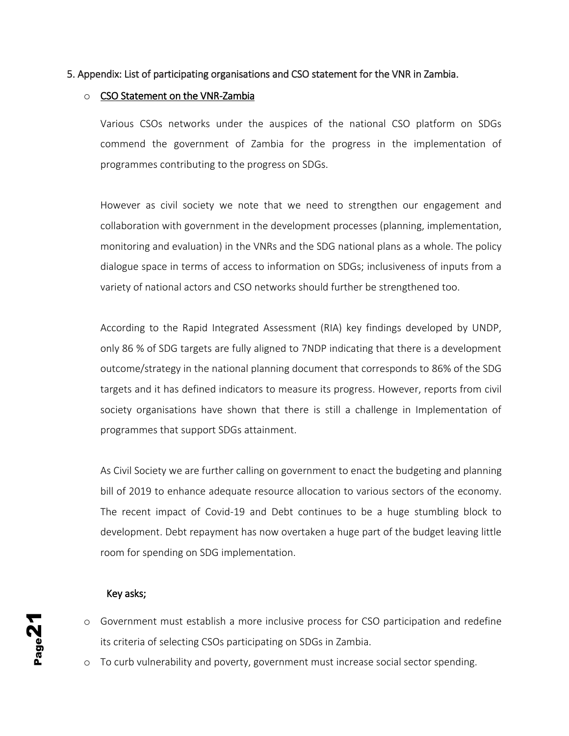#### 5. Appendix: List of participating organisations and CSO statement for the VNR in Zambia.

#### o CSO Statement on the VNR-Zambia

Various CSOs networks under the auspices of the national CSO platform on SDGs commend the government of Zambia for the progress in the implementation of programmes contributing to the progress on SDGs.

However as civil society we note that we need to strengthen our engagement and collaboration with government in the development processes (planning, implementation, monitoring and evaluation) in the VNRs and the SDG national plans as a whole. The policy dialogue space in terms of access to information on SDGs; inclusiveness of inputs from a variety of national actors and CSO networks should further be strengthened too.

According to the Rapid Integrated Assessment (RIA) key findings developed by UNDP, only 86 % of SDG targets are fully aligned to 7NDP indicating that there is a development outcome/strategy in the national planning document that corresponds to 86% of the SDG targets and it has defined indicators to measure its progress. However, reports from civil society organisations have shown that there is still a challenge in Implementation of programmes that support SDGs attainment.

As Civil Society we are further calling on government to enact the budgeting and planning bill of 2019 to enhance adequate resource allocation to various sectors of the economy. The recent impact of Covid-19 and Debt continues to be a huge stumbling block to development. Debt repayment has now overtaken a huge part of the budget leaving little room for spending on SDG implementation.

#### Key asks;

- o Government must establish a more inclusive process for CSO participation and redefine its criteria of selecting CSOs participating on SDGs in Zambia.
- o To curb vulnerability and poverty, government must increase social sector spending.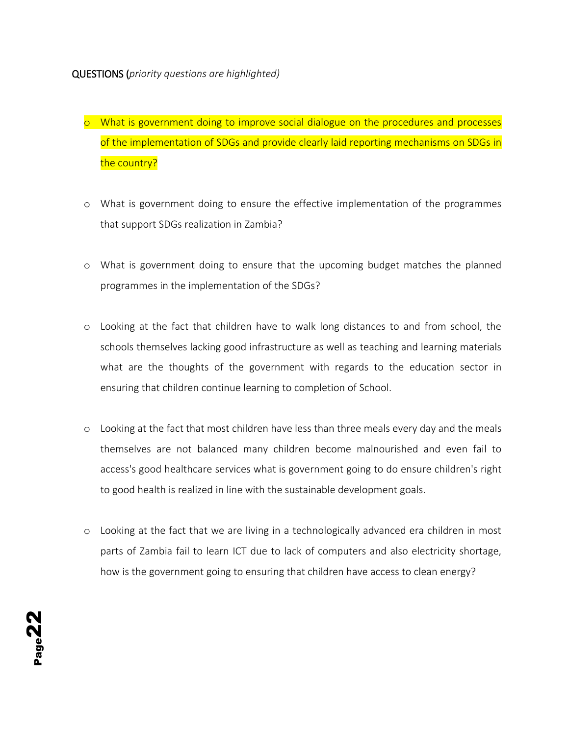- o What is government doing to improve social dialogue on the procedures and processes of the implementation of SDGs and provide clearly laid reporting mechanisms on SDGs in the country?
- o What is government doing to ensure the effective implementation of the programmes that support SDGs realization in Zambia?
- o What is government doing to ensure that the upcoming budget matches the planned programmes in the implementation of the SDGs?
- o Looking at the fact that children have to walk long distances to and from school, the schools themselves lacking good infrastructure as well as teaching and learning materials what are the thoughts of the government with regards to the education sector in ensuring that children continue learning to completion of School.
- o Looking at the fact that most children have less than three meals every day and the meals themselves are not balanced many children become malnourished and even fail to access's good healthcare services what is government going to do ensure children's right to good health is realized in line with the sustainable development goals.
- o Looking at the fact that we are living in a technologically advanced era children in most parts of Zambia fail to learn ICT due to lack of computers and also electricity shortage, how is the government going to ensuring that children have access to clean energy?

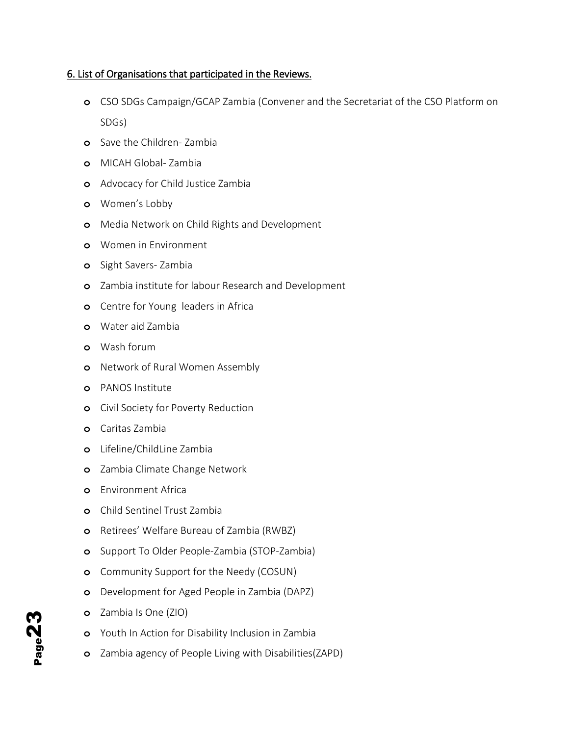#### 6. List of Organisations that participated in the Reviews.

- **o** CSO SDGs Campaign/GCAP Zambia (Convener and the Secretariat of the CSO Platform on SDGs)
- **o** Save the Children- Zambia
- **o** MICAH Global- Zambia
- **o** Advocacy for Child Justice Zambia
- **o** Women's Lobby
- **o** Media Network on Child Rights and Development
- **o** Women in Environment
- **o** Sight Savers- Zambia
- **o** Zambia institute for labour Research and Development
- **o** Centre for Young leaders in Africa
- **o** Water aid Zambia
- **o** Wash forum
- **o** Network of Rural Women Assembly
- **o** PANOS Institute
- **o** Civil Society for Poverty Reduction
- **o** Caritas Zambia
- **o** Lifeline/ChildLine Zambia
- **o** Zambia Climate Change Network
- **o** Environment Africa
- **o** Child Sentinel Trust Zambia
- **o** Retirees' Welfare Bureau of Zambia (RWBZ)
- **o** Support To Older People-Zambia (STOP-Zambia)
- **o** Community Support for the Needy (COSUN)
- **o** Development for Aged People in Zambia (DAPZ)
- **o** Zambia Is One (ZIO)
- **o** Youth In Action for Disability Inclusion in Zambia
- **o** Zambia agency of People Living with Disabilities(ZAPD)